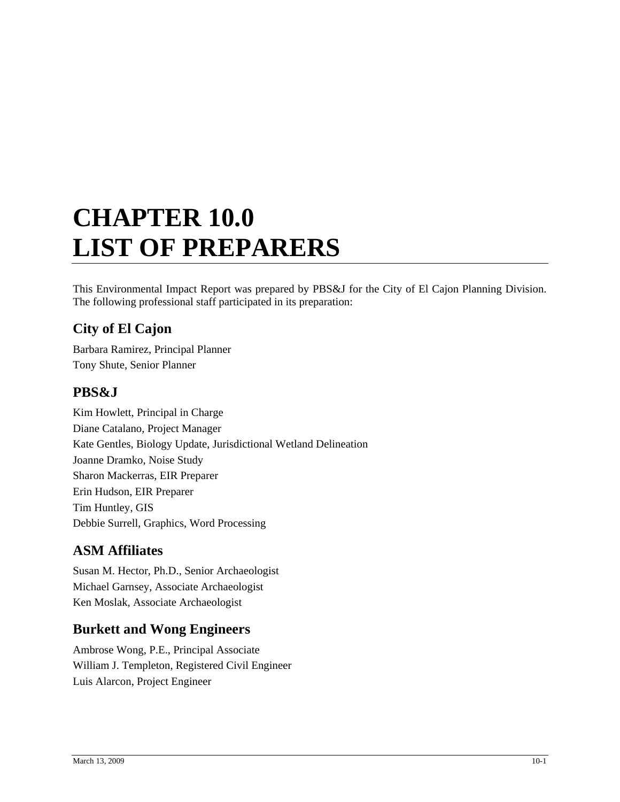# **CHAPTER 10.0 LIST OF PREPARERS**

This Environmental Impact Report was prepared by PBS&J for the City of El Cajon Planning Division. The following professional staff participated in its preparation:

# **City of El Cajon**

Barbara Ramirez, Principal Planner Tony Shute, Senior Planner

# **PBS&J**

Kim Howlett, Principal in Charge Diane Catalano, Project Manager Kate Gentles, Biology Update, Jurisdictional Wetland Delineation Joanne Dramko, Noise Study Sharon Mackerras, EIR Preparer Erin Hudson, EIR Preparer Tim Huntley, GIS Debbie Surrell, Graphics, Word Processing

# **ASM Affiliates**

Susan M. Hector, Ph.D., Senior Archaeologist Michael Garnsey, Associate Archaeologist Ken Moslak, Associate Archaeologist

# **Burkett and Wong Engineers**

Ambrose Wong, P.E., Principal Associate William J. Templeton, Registered Civil Engineer Luis Alarcon, Project Engineer